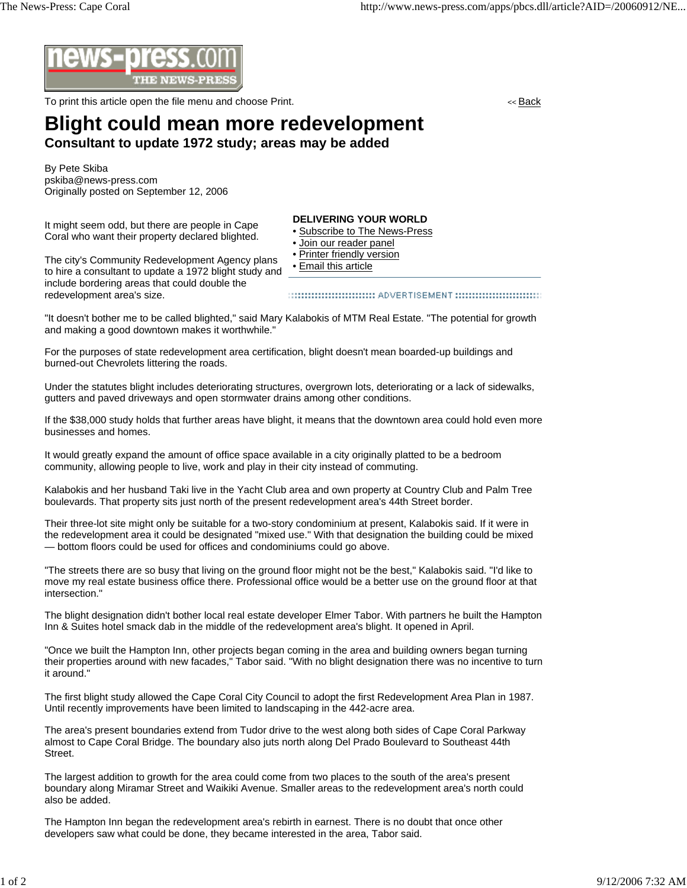

To print this article open the file menu and choose Print. The state of the state of the state of the state of the state of the state of the state of the state of the state of the state of the state of the state of the sta

## **Blight could mean more redevelopment Consultant to update 1972 study; areas may be added**

By Pete Skiba pskiba@news-press.com Originally posted on September 12, 2006

It might seem odd, but there are people in Cape Coral who want their property declared blighted.

## **DELIVERING YOUR WORLD**

- Subscribe to The News-Press
- Join our reader panel
- Printer friendly version
- Email this article

The city's Community Redevelopment Agency plans to hire a consultant to update a 1972 blight study and include bordering areas that could double the redevelopment area's size.

"It doesn't bother me to be called blighted," said Mary Kalabokis of MTM Real Estate. "The potential for growth and making a good downtown makes it worthwhile."

For the purposes of state redevelopment area certification, blight doesn't mean boarded-up buildings and burned-out Chevrolets littering the roads.

Under the statutes blight includes deteriorating structures, overgrown lots, deteriorating or a lack of sidewalks, gutters and paved driveways and open stormwater drains among other conditions.

If the \$38,000 study holds that further areas have blight, it means that the downtown area could hold even more businesses and homes.

It would greatly expand the amount of office space available in a city originally platted to be a bedroom community, allowing people to live, work and play in their city instead of commuting.

Kalabokis and her husband Taki live in the Yacht Club area and own property at Country Club and Palm Tree boulevards. That property sits just north of the present redevelopment area's 44th Street border.

Their three-lot site might only be suitable for a two-story condominium at present, Kalabokis said. If it were in the redevelopment area it could be designated "mixed use." With that designation the building could be mixed — bottom floors could be used for offices and condominiums could go above.

"The streets there are so busy that living on the ground floor might not be the best," Kalabokis said. "I'd like to move my real estate business office there. Professional office would be a better use on the ground floor at that intersection."

The blight designation didn't bother local real estate developer Elmer Tabor. With partners he built the Hampton Inn & Suites hotel smack dab in the middle of the redevelopment area's blight. It opened in April.

"Once we built the Hampton Inn, other projects began coming in the area and building owners began turning their properties around with new facades," Tabor said. "With no blight designation there was no incentive to turn it around."

The first blight study allowed the Cape Coral City Council to adopt the first Redevelopment Area Plan in 1987. Until recently improvements have been limited to landscaping in the 442-acre area.

The area's present boundaries extend from Tudor drive to the west along both sides of Cape Coral Parkway almost to Cape Coral Bridge. The boundary also juts north along Del Prado Boulevard to Southeast 44th Street.

The largest addition to growth for the area could come from two places to the south of the area's present boundary along Miramar Street and Waikiki Avenue. Smaller areas to the redevelopment area's north could also be added.

The Hampton Inn began the redevelopment area's rebirth in earnest. There is no doubt that once other developers saw what could be done, they became interested in the area, Tabor said.